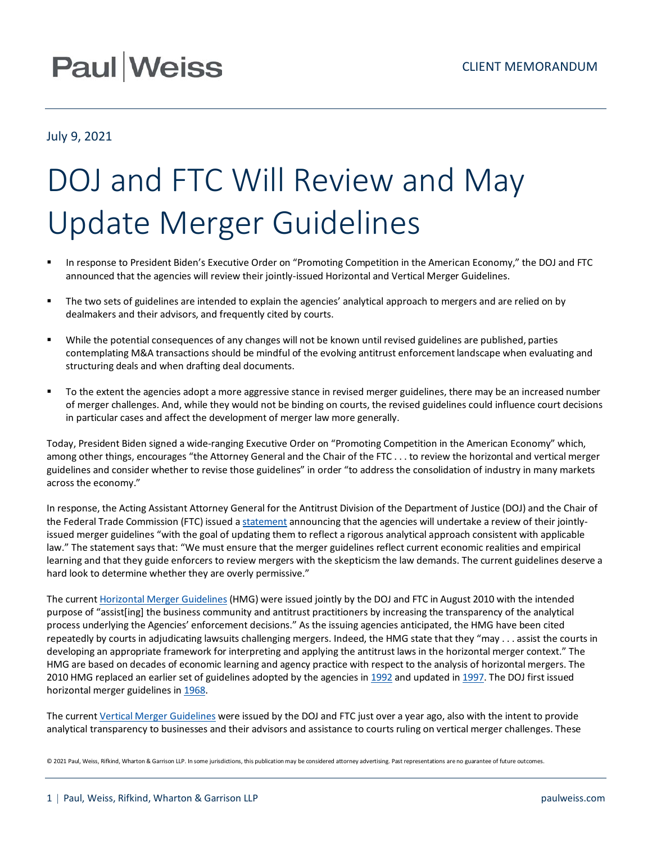## **Paul Weiss**

## July 9, 2021

## DOJ and FTC Will Review and May Update Merger Guidelines

- In response to President Biden's Executive Order on "Promoting Competition in the American Economy," the DOJ and FTC announced that the agencies will review their jointly-issued Horizontal and Vertical Merger Guidelines.
- The two sets of guidelines are intended to explain the agencies' analytical approach to mergers and are relied on by dealmakers and their advisors, and frequently cited by courts.
- While the potential consequences of any changes will not be known until revised guidelines are published, parties contemplating M&A transactions should be mindful of the evolving antitrust enforcement landscape when evaluating and structuring deals and when drafting deal documents.
- To the extent the agencies adopt a more aggressive stance in revised merger guidelines, there may be an increased number of merger challenges. And, while they would not be binding on courts, the revised guidelines could influence court decisions in particular cases and affect the development of merger law more generally.

Today, President Biden signed a wide-ranging Executive Order on "Promoting Competition in the American Economy" which, among other things, encourages "the Attorney General and the Chair of the FTC . . . to review the horizontal and vertical merger guidelines and consider whether to revise those guidelines" in order "to address the consolidation of industry in many markets across the economy."

In response, the Acting Assistant Attorney General for the Antitrust Division of the Department of Justice (DOJ) and the Chair of the Federal Trade Commission (FTC) issued a [statement](https://www.ftc.gov/news-events/press-releases/2021/07/statement-ftc-chair-lina-khan-antitrust-division-acting-assistant?utm_source=govdelivery) announcing that the agencies will undertake a review of their jointlyissued merger guidelines "with the goal of updating them to reflect a rigorous analytical approach consistent with applicable law." The statement says that: "We must ensure that the merger guidelines reflect current economic realities and empirical learning and that they guide enforcers to review mergers with the skepticism the law demands. The current guidelines deserve a hard look to determine whether they are overly permissive."

The curren[t Horizontal Merger Guidelines](https://www.justice.gov/atr/file/810276/download) (HMG) were issued jointly by the DOJ and FTC in August 2010 with the intended purpose of "assist[ing] the business community and antitrust practitioners by increasing the transparency of the analytical process underlying the Agencies' enforcement decisions." As the issuing agencies anticipated, the HMG have been cited repeatedly by courts in adjudicating lawsuits challenging mergers. Indeed, the HMG state that they "may . . . assist the courts in developing an appropriate framework for interpreting and applying the antitrust laws in the horizontal merger context." The HMG are based on decades of economic learning and agency practice with respect to the analysis of horizontal mergers. The 2010 HMG replaced an earlier set of guidelines adopted by the agencies i[n 1992](https://www.justice.gov/atr/hmerger/11250.htm) and updated i[n 1997.](https://www.justice.gov/atr/hmerger/11251.htm) The DOJ first issued horizontal merger guidelines i[n 1968.](https://www.justice.gov/atr/hmerger/11247.htm)

The curren[t Vertical Merger Guidelines](https://www.justice.gov/atr/page/file/1290686/download) were issued by the DOJ and FTC just over a year ago, also with the intent to provide analytical transparency to businesses and their advisors and assistance to courts ruling on vertical merger challenges. These

© 2021 Paul, Weiss, Rifkind, Wharton & Garrison LLP. In some jurisdictions, this publication may be considered attorney advertising. Past representations are no guarantee of future outcomes.